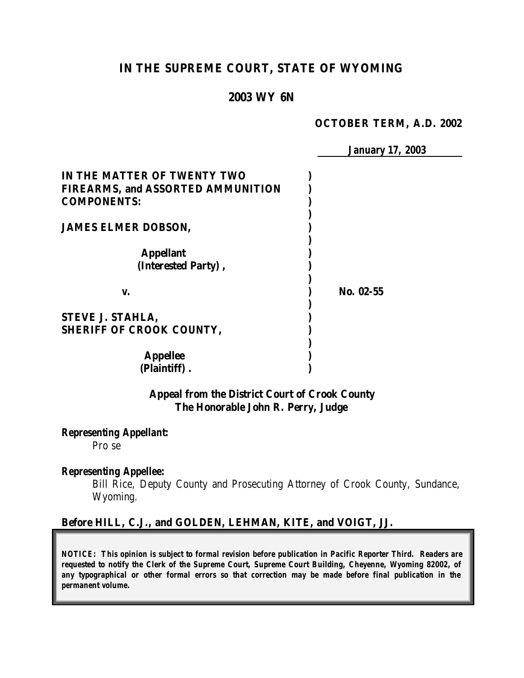# **IN THE SUPREME COURT, STATE OF WYOMING**

### **2003 WY 6N**

#### **OCTOBER TERM, A.D. 2002**

|                                          | <b>January 17, 2003</b> |
|------------------------------------------|-------------------------|
| IN THE MATTER OF TWENTY TWO              |                         |
| <b>FIREARMS, and ASSORTED AMMUNITION</b> |                         |
| <b>COMPONENTS:</b>                       |                         |
|                                          |                         |
| <b>JAMES ELMER DOBSON,</b>               |                         |
|                                          |                         |
| <b>Appellant</b>                         |                         |
| (Interested Party),                      |                         |
| V.                                       | No. 02-55               |
|                                          |                         |
| <b>STEVE J. STAHLA,</b>                  |                         |
| <b>SHERIFF OF CROOK COUNTY,</b>          |                         |
|                                          |                         |
| <b>Appellee</b>                          |                         |
| (Plaintiff).                             |                         |
|                                          |                         |

### **Appeal from the District Court of Crook County The Honorable John R. Perry, Judge**

*Representing Appellant:*

Pro se

#### *Representing Appellee:*

Bill Rice, Deputy County and Prosecuting Attorney of Crook County, Sundance, Wyoming.

### **Before HILL, C.J., and GOLDEN, LEHMAN, KITE, and VOIGT, JJ.**

*NOTICE: This opinion is subject to formal revision before publication in Pacific Reporter Third. Readers are requested to notify the Clerk of the Supreme Court, Supreme Court Building, Cheyenne, Wyoming 82002, of any typographical or other formal errors so that correction may be made before final publication in the permanent volume.*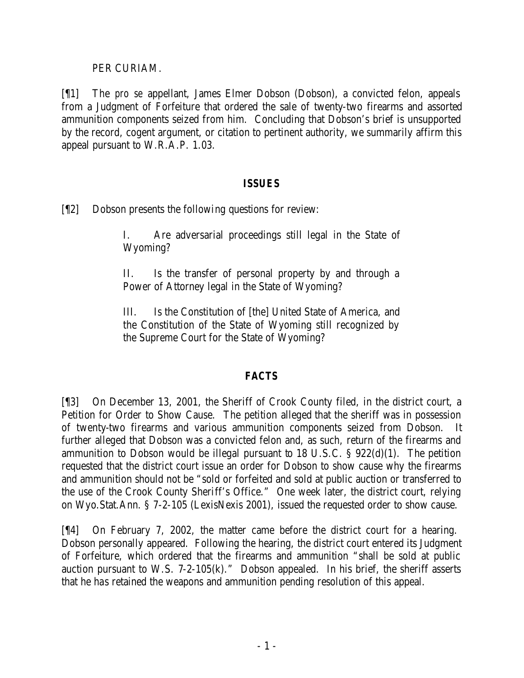### PER CURIAM.

[¶1] The *pro se* appellant, James Elmer Dobson (Dobson), a convicted felon, appeals from a Judgment of Forfeiture that ordered the sale of twenty-two firearms and assorted ammunition components seized from him. Concluding that Dobson's brief is unsupported by the record, cogent argument, or citation to pertinent authority, we summarily affirm this appeal pursuant to W.R.A.P. 1.03.

### *ISSUES*

[¶2] Dobson presents the following questions for review:

I. Are adversarial proceedings still legal in the State of Wyoming?

II. Is the transfer of personal property by and through a Power of Attorney legal in the State of Wyoming?

III. Is the Constitution of [the] United State of America, and the Constitution of the State of Wyoming still recognized by the Supreme Court for the State of Wyoming?

## *FACTS*

[¶3] On December 13, 2001, the Sheriff of Crook County filed, in the district court, a Petition for Order to Show Cause. The petition alleged that the sheriff was in possession of twenty-two firearms and various ammunition components seized from Dobson. It further alleged that Dobson was a convicted felon and, as such, return of the firearms and ammunition to Dobson would be illegal pursuant to 18 U.S.C. § 922(d)(1). The petition requested that the district court issue an order for Dobson to show cause why the firearms and ammunition should not be "sold or forfeited and sold at public auction or transferred to the use of the Crook County Sheriff's Office." One week later, the district court, relying on Wyo.Stat.Ann. § 7-2-105 (LexisNexis 2001), issued the requested order to show cause.

[¶4] On February 7, 2002, the matter came before the district court for a hearing. Dobson personally appeared. Following the hearing, the district court entered its Judgment of Forfeiture, which ordered that the firearms and ammunition "shall be sold at public auction pursuant to W.S.  $7-2-105(k)$ ." Dobson appealed. In his brief, the sheriff asserts that he has retained the weapons and ammunition pending resolution of this appeal.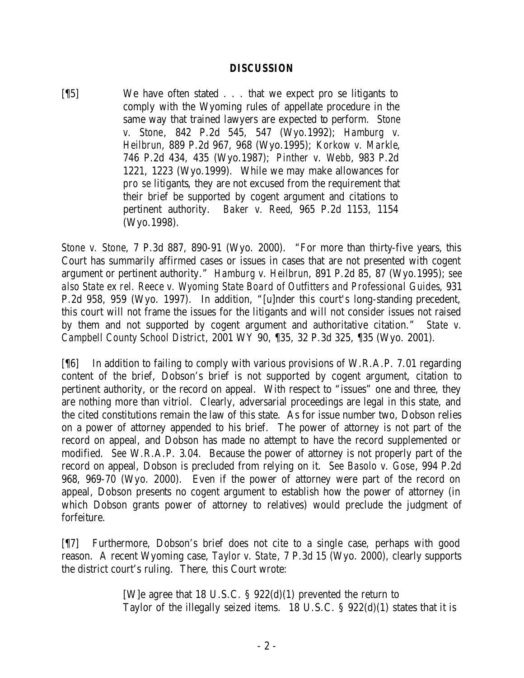### *DISCUSSION*

[¶5] We have often stated . . . that we expect pro se litigants to comply with the Wyoming rules of appellate procedure in the same way that trained lawyers are expected to perform. *Stone v. Stone*, 842 P.2d 545, 547 (Wyo.1992); *Hamburg v. Heilbrun*, 889 P.2d 967, 968 (Wyo.1995); *Korkow v. Markle*, 746 P.2d 434, 435 (Wyo.1987); *Pinther v. Webb*, 983 P.2d 1221, 1223 (Wyo.1999). While we may make allowances for *pro se* litigants, they are not excused from the requirement that their brief be supported by cogent argument and citations to pertinent authority. *Baker v. Reed*, 965 P.2d 1153, 1154 (Wyo.1998).

*Stone v. Stone*, 7 P.3d 887, 890-91 (Wyo. 2000). "For more than thirty-five years, this Court has summarily affirmed cases or issues in cases that are not presented with cogent argument or pertinent authority." *Hamburg v. Heilbrun*, 891 P.2d 85, 87 (Wyo.1995); *see also State ex rel. Reece v. Wyoming State Board of Outfitters and Professional Guides*, 931 P.2d 958, 959 (Wyo. 1997). In addition, "[u]nder this court's long-standing precedent, this court will not frame the issues for the litigants and will not consider issues not raised by them and not supported by cogent argument and authoritative citation." *State v. Campbell County School District*, 2001 WY 90, ¶35, 32 P.3d 325, ¶35 (Wyo. 2001).

[¶6] In addition to failing to comply with various provisions of W.R.A.P. 7.01 regarding content of the brief, Dobson's brief is not supported by cogent argument, citation to pertinent authority, or the record on appeal. With respect to "issues" one and three, they are nothing more than vitriol. Clearly, adversarial proceedings are legal in this state, and the cited constitutions remain the law of this state. As for issue number two, Dobson relies on a power of attorney appended to his brief. The power of attorney is not part of the record on appeal, and Dobson has made no attempt to have the record supplemented or modified. *See* W.R.A.P. 3.04. Because the power of attorney is not properly part of the record on appeal, Dobson is precluded from relying on it. *See Basolo v. Gose*, 994 P.2d 968, 969-70 (Wyo. 2000). Even if the power of attorney were part of the record on appeal, Dobson presents no cogent argument to establish how the power of attorney (in which Dobson grants power of attorney to relatives) would preclude the judgment of forfeiture.

[¶7] Furthermore, Dobson's brief does not cite to a single case, perhaps with good reason. A recent Wyoming case, *Taylor v. State*, 7 P.3d 15 (Wyo. 2000), clearly supports the district court's ruling. There, this Court wrote:

> [W]e agree that 18 U.S.C. § 922(d)(1) prevented the return to Taylor of the illegally seized items. 18 U.S.C. § 922(d)(1) states that it is